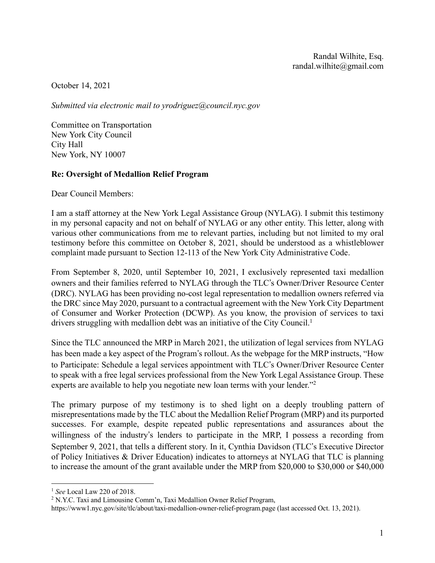October 14, 2021

*Submitted via electronic mail to yrodriguez@council.nyc.gov*

Committee on Transportation New York City Council City Hall New York, NY 10007

# **Re: Oversight of Medallion Relief Program**

Dear Council Members:

I am a staff attorney at the New York Legal Assistance Group (NYLAG). I submit this testimony in my personal capacity and not on behalf of NYLAG or any other entity. This letter, along with various other communications from me to relevant parties, including but not limited to my oral testimony before this committee on October 8, 2021, should be understood as a whistleblower complaint made pursuant to Section 12-113 of the New York City Administrative Code.

From September 8, 2020, until September 10, 2021, I exclusively represented taxi medallion owners and their families referred to NYLAG through the TLC's Owner/Driver Resource Center (DRC). NYLAG has been providing no-cost legal representation to medallion owners referred via the DRC since May 2020, pursuant to a contractual agreement with the New York City Department of Consumer and Worker Protection (DCWP). As you know, the provision of services to taxi drivers struggling with medallion debt was an initiative of the City Council.<sup>1</sup>

Since the TLC announced the MRP in March 2021, the utilization of legal services from NYLAG has been made a key aspect of the Program's rollout. As the webpage for the MRP instructs, "How to Participate: Schedule a legal services appointment with TLC's Owner/Driver Resource Center to speak with a free legal services professional from the New York Legal Assistance Group. These experts are available to help you negotiate new loan terms with your lender."<sup>2</sup>

The primary purpose of my testimony is to shed light on a deeply troubling pattern of misrepresentations made by the TLC about the Medallion Relief Program (MRP) and its purported successes. For example, despite repeated public representations and assurances about the willingness of the industry's lenders to participate in the MRP, I possess a recording from September 9, 2021, that tells a different story. In it, Cynthia Davidson (TLC's Executive Director of Policy Initiatives & Driver Education) indicates to attorneys at NYLAG that TLC is planning to increase the amount of the grant available under the MRP from \$20,000 to \$30,000 or \$40,000

<sup>1</sup> *See* Local Law 220 of 2018.

<sup>2</sup> N.Y.C. Taxi and Limousine Comm'n, Taxi Medallion Owner Relief Program,

https://www1.nyc.gov/site/tlc/about/taxi-medallion-owner-relief-program.page (last accessed Oct. 13, 2021).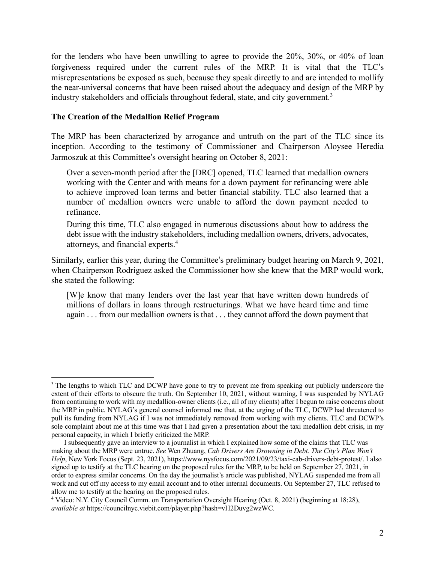for the lenders who have been unwilling to agree to provide the 20%, 30%, or 40% of loan forgiveness required under the current rules of the MRP. It is vital that the TLC's misrepresentations be exposed as such, because they speak directly to and are intended to mollify the near-universal concerns that have been raised about the adequacy and design of the MRP by industry stakeholders and officials throughout federal, state, and city government.<sup>3</sup>

## **The Creation of the Medallion Relief Program**

The MRP has been characterized by arrogance and untruth on the part of the TLC since its inception. According to the testimony of Commissioner and Chairperson Aloysee Heredia Jarmoszuk at this Committee's oversight hearing on October 8, 2021:

Over a seven-month period after the [DRC] opened, TLC learned that medallion owners working with the Center and with means for a down payment for refinancing were able to achieve improved loan terms and better financial stability. TLC also learned that a number of medallion owners were unable to afford the down payment needed to refinance.

During this time, TLC also engaged in numerous discussions about how to address the debt issue with the industry stakeholders, including medallion owners, drivers, advocates, attorneys, and financial experts. 4

Similarly, earlier this year, during the Committee's preliminary budget hearing on March 9, 2021, when Chairperson Rodriguez asked the Commissioner how she knew that the MRP would work, she stated the following:

[W]e know that many lenders over the last year that have written down hundreds of millions of dollars in loans through restructurings. What we have heard time and time again . . . from our medallion owners is that . . . they cannot afford the down payment that

<sup>&</sup>lt;sup>3</sup> The lengths to which TLC and DCWP have gone to try to prevent me from speaking out publicly underscore the extent of their efforts to obscure the truth. On September 10, 2021, without warning, I was suspended by NYLAG from continuing to work with my medallion-owner clients (i.e., all of my clients) after I begun to raise concerns about the MRP in public. NYLAG's general counsel informed me that, at the urging of the TLC, DCWP had threatened to pull its funding from NYLAG if I was not immediately removed from working with my clients. TLC and DCWP's sole complaint about me at this time was that I had given a presentation about the taxi medallion debt crisis, in my personal capacity, in which I briefly criticized the MRP.

I subsequently gave an interview to a journalist in which I explained how some of the claims that TLC was making about the MRP were untrue. *See* Wen Zhuang, *Cab Drivers Are Drowning in Debt. The City's Plan Won't Help*, New York Focus (Sept. 23, 2021), https://www.nysfocus.com/2021/09/23/taxi-cab-drivers-debt-protest/. I also signed up to testify at the TLC hearing on the proposed rules for the MRP, to be held on September 27, 2021, in order to express similar concerns. On the day the journalist's article was published, NYLAG suspended me from all work and cut off my access to my email account and to other internal documents. On September 27, TLC refused to allow me to testify at the hearing on the proposed rules.

<sup>4</sup> Video: N.Y. City Council Comm. on Transportation Oversight Hearing (Oct. 8, 2021) (beginning at 18:28), *available at* https://councilnyc.viebit.com/player.php?hash=vH2Duvg2wzWC.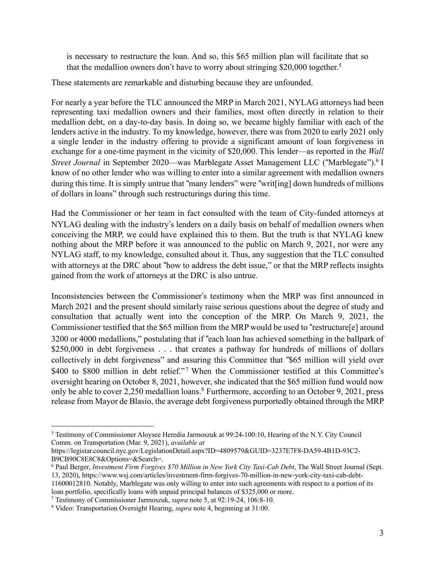is necessary to restructure the loan. And so, this \$65 million plan will facilitate that so that the medallion owners don't have to worry about stringing \$20,000 together.<sup>5</sup>

These statements are remarkable and disturbing because they are unfounded.

For nearly a year before the TLC announced the MRP in March 2021, NYLAG attorneys had been representing taxi medallion owners and their families, most often directly in relation to their medallion debt, on a day-to-day basis. In doing so, we became highly familiar with each of the lenders active in the industry. To my knowledge, however, there was from 2020 to early 2021 only a single lender in the industry offering to provide a significant amount of loan forgiveness in exchange for a one-time payment in the vicinity of \$20,000. This lender—as reported in the *Wall Street Journal* in September 2020—was Marblegate Asset Management LLC ("Marblegate").6 I know of no other lender who was willing to enter into a similar agreement with medallion owners during this time. It is simply untrue that "many lenders" were "writ[ing] down hundreds of millions of dollars in loans" through such restructurings during this time.

Had the Commissioner or her team in fact consulted with the team of City-funded attorneys at NYLAG dealing with the industry's lenders on a daily basis on behalf of medallion owners when conceiving the MRP, we could have explained this to them. But the truth is that NYLAG knew nothing about the MRP before it was announced to the public on March 9, 2021, nor were any NYLAG staff, to my knowledge, consulted about it. Thus, any suggestion that the TLC consulted with attorneys at the DRC about "how to address the debt issue," or that the MRP reflects insights gained from the work of attorneys at the DRC is also untrue.

Inconsistencies between the Commissioner's testimony when the MRP was first announced in March 2021 and the present should similarly raise serious questions about the degree of study and consultation that actually went into the conception of the MRP. On March 9, 2021, the Commissioner testified that the \$65 million from the MRP would be used to "restructure[e] around 3200 or 4000 medallions," postulating that if "each loan has achieved something in the ballpark of \$250,000 in debt forgiveness . . . that creates a pathway for hundreds of millions of dollars collectively in debt forgiveness" and assuring this Committee that "\$65 million will yield over \$400 to \$800 million in debt relief."<sup>7</sup> When the Commissioner testified at this Committee's oversight hearing on October 8, 2021, however, she indicated that the \$65 million fund would now only be able to cover 2,250 medallion loans.<sup>8</sup> Furthermore, according to an October 9, 2021, press release from Mayor de Blasio, the average debt forgiveness purportedly obtained through the MRP

<sup>5</sup> Testimony of Commissioner Aloysee Heredia Jarmoszuk at 99:24-100:10, Hearing of the N.Y. City Council Comm. on Transportation (Mar. 9, 2021), *available at*

https://legistar.council.nyc.gov/LegislationDetail.aspx?ID=4809579&GUID=3237E7F8-DA59-4B1D-93C2- B9CB90C8E8C8&Options=&Search=.

<sup>6</sup> Paul Berger, *Investment Firm Forgives \$70 Million in New York City Taxi-Cab Debt*, The Wall Street Journal (Sept. 13, 2020), https://www.wsj.com/articles/investment-firm-forgives-70-million-in-new-york-city-taxi-cab-debt-11600012810. Notably, Marblegate was only willing to enter into such agreements with respect to a portion of its loan portfolio, specifically loans with unpaid principal balances of \$325,000 or more.

<sup>7</sup> Testimony of Commissioner Jarmoszuk, *supra* note 5, at 92:19-24, 106:8-10.

<sup>8</sup> Video: Transportation Oversight Hearing, *supra* note 4, beginning at 31:00.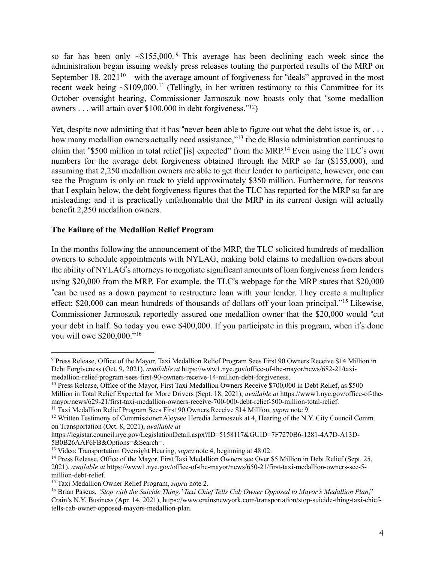so far has been only  $\sim $155,000$ . This average has been declining each week since the administration began issuing weekly press releases touting the purported results of the MRP on September 18, 2021<sup>10</sup>—with the average amount of forgiveness for "deals" approved in the most recent week being  $\sim $109,000$ .<sup>11</sup> (Tellingly, in her written testimony to this Committee for its October oversight hearing, Commissioner Jarmoszuk now boasts only that "some medallion owners . . . will attain over \$100,000 in debt forgiveness."12)

Yet, despite now admitting that it has "never been able to figure out what the debt issue is, or ... how many medallion owners actually need assistance,"<sup>13</sup> the de Blasio administration continues to claim that "\$500 million in total relief [is] expected" from the MRP.<sup>14</sup> Even using the TLC's own numbers for the average debt forgiveness obtained through the MRP so far (\$155,000), and assuming that 2,250 medallion owners are able to get their lender to participate, however, one can see the Program is only on track to yield approximately \$350 million. Furthermore, for reasons that I explain below, the debt forgiveness figures that the TLC has reported for the MRP so far are misleading; and it is practically unfathomable that the MRP in its current design will actually benefit 2,250 medallion owners.

# **The Failure of the Medallion Relief Program**

In the months following the announcement of the MRP, the TLC solicited hundreds of medallion owners to schedule appointments with NYLAG, making bold claims to medallion owners about the ability of NYLAG's attorneys to negotiate significant amounts of loan forgiveness from lenders using \$20,000 from the MRP. For example, the TLC's webpage for the MRP states that \$20,000 "can be used as a down payment to restructure loan with your lender. They create a multiplier effect: \$20,000 can mean hundreds of thousands of dollars off your loan principal."15 Likewise, Commissioner Jarmoszuk reportedly assured one medallion owner that the \$20,000 would "cut your debt in half. So today you owe \$400,000. If you participate in this program, when it's done you will owe \$200,000."16

<sup>9</sup> Press Release, Office of the Mayor, Taxi Medallion Relief Program Sees First 90 Owners Receive \$14 Million in Debt Forgiveness (Oct. 9, 2021), *available at* https://www1.nyc.gov/office-of-the-mayor/news/682-21/taximedallion-relief-program-sees-first-90-owners-receive-14-million-debt-forgiveness.

<sup>&</sup>lt;sup>10</sup> Press Release, Office of the Mayor, First Taxi Medallion Owners Receive \$700,000 in Debt Relief, as \$500 Million in Total Relief Expected for More Drivers (Sept. 18, 2021), *available at* https://www1.nyc.gov/office-of-themayor/news/629-21/first-taxi-medallion-owners-receive-700-000-debt-relief-500-million-total-relief.

<sup>11</sup> Taxi Medallion Relief Program Sees First 90 Owners Receive \$14 Million, *supra* note 9.

<sup>&</sup>lt;sup>12</sup> Written Testimony of Commissioner Aloysee Heredia Jarmoszuk at 4, Hearing of the N.Y. City Council Comm. on Transportation (Oct. 8, 2021), *available at*

https://legistar.council.nyc.gov/LegislationDetail.aspx?ID=5158117&GUID=7F7270B6-1281-4A7D-A13D-5B0B26AAF6FB&Options=&Search=.

<sup>&</sup>lt;sup>13</sup> Video: Transportation Oversight Hearing, *supra* note 4, beginning at 48:02.

<sup>&</sup>lt;sup>14</sup> Press Release, Office of the Mayor, First Taxi Medallion Owners see Over \$5 Million in Debt Relief (Sept. 25, 2021), *available at* https://www1.nyc.gov/office-of-the-mayor/news/650-21/first-taxi-medallion-owners-see-5 million-debt-relief.

<sup>15</sup> Taxi Medallion Owner Relief Program, *supra* note 2.

<sup>16</sup> Brian Pascus, *'Stop with the Suicide Thing,'Taxi Chief Tells Cab Owner Opposed to Mayor's Medallion Plan*," Crain's N.Y. Business (Apr. 14, 2021), https://www.crainsnewyork.com/transportation/stop-suicide-thing-taxi-chieftells-cab-owner-opposed-mayors-medallion-plan.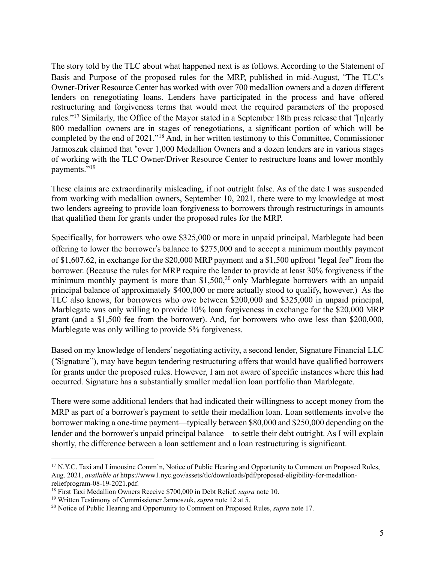The story told by the TLC about what happened next is as follows. According to the Statement of Basis and Purpose of the proposed rules for the MRP, published in mid-August, "The TLC's Owner-Driver Resource Center has worked with over 700 medallion owners and a dozen different lenders on renegotiating loans. Lenders have participated in the process and have offered restructuring and forgiveness terms that would meet the required parameters of the proposed rules."17 Similarly, the Office of the Mayor stated in a September 18th press release that "[n]early 800 medallion owners are in stages of renegotiations, a significant portion of which will be completed by the end of 2021."18 And, in her written testimony to this Committee, Commissioner Jarmoszuk claimed that "over 1,000 Medallion Owners and a dozen lenders are in various stages of working with the TLC Owner/Driver Resource Center to restructure loans and lower monthly payments."19

These claims are extraordinarily misleading, if not outright false. As of the date I was suspended from working with medallion owners, September 10, 2021, there were to my knowledge at most two lenders agreeing to provide loan forgiveness to borrowers through restructurings in amounts that qualified them for grants under the proposed rules for the MRP.

Specifically, for borrowers who owe \$325,000 or more in unpaid principal, Marblegate had been offering to lower the borrower's balance to \$275,000 and to accept a minimum monthly payment of \$1,607.62, in exchange for the \$20,000 MRP payment and a \$1,500 upfront "legal fee" from the borrower. (Because the rules for MRP require the lender to provide at least 30% forgiveness if the minimum monthly payment is more than  $$1,500,^{20}$  only Marblegate borrowers with an unpaid principal balance of approximately \$400,000 or more actually stood to qualify, however.) As the TLC also knows, for borrowers who owe between \$200,000 and \$325,000 in unpaid principal, Marblegate was only willing to provide 10% loan forgiveness in exchange for the \$20,000 MRP grant (and a \$1,500 fee from the borrower). And, for borrowers who owe less than \$200,000, Marblegate was only willing to provide 5% forgiveness.

Based on my knowledge of lenders' negotiating activity, a second lender, Signature Financial LLC ("Signature"), may have begun tendering restructuring offers that would have qualified borrowers for grants under the proposed rules. However, I am not aware of specific instances where this had occurred. Signature has a substantially smaller medallion loan portfolio than Marblegate.

There were some additional lenders that had indicated their willingness to accept money from the MRP as part of a borrower's payment to settle their medallion loan. Loan settlements involve the borrower making a one-time payment—typically between \$80,000 and \$250,000 depending on the lender and the borrower's unpaid principal balance—to settle their debt outright. As I will explain shortly, the difference between a loan settlement and a loan restructuring is significant.

<sup>&</sup>lt;sup>17</sup> N.Y.C. Taxi and Limousine Comm'n, Notice of Public Hearing and Opportunity to Comment on Proposed Rules, Aug. 2021, *available at* https://www1.nyc.gov/assets/tlc/downloads/pdf/proposed-eligibility-for-medallionreliefprogram-08-19-2021.pdf.

<sup>18</sup> First Taxi Medallion Owners Receive \$700,000 in Debt Relief, *supra* note 10.

<sup>19</sup> Written Testimony of Commissioner Jarmoszuk, *supra* note 12 at 5.

<sup>20</sup> Notice of Public Hearing and Opportunity to Comment on Proposed Rules, *supra* note 17.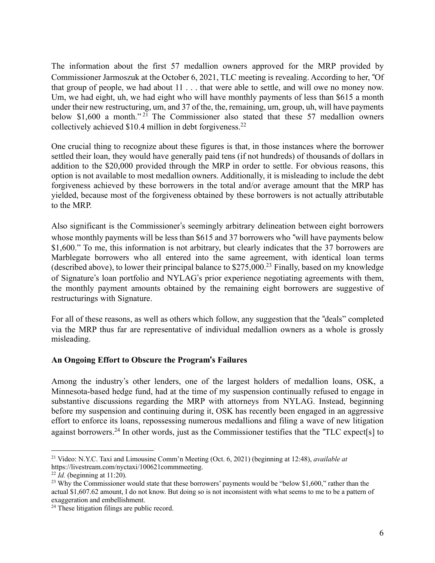The information about the first 57 medallion owners approved for the MRP provided by Commissioner Jarmoszuk at the October 6, 2021, TLC meeting is revealing. According to her, "Of that group of people, we had about 11 . . . that were able to settle, and will owe no money now. Um, we had eight, uh, we had eight who will have monthly payments of less than \$615 a month under their new restructuring, um, and 37 of the, the, remaining, um, group, uh, will have payments below \$1,600 a month."<sup>21</sup> The Commissioner also stated that these 57 medallion owners collectively achieved \$10.4 million in debt forgiveness.22

One crucial thing to recognize about these figures is that, in those instances where the borrower settled their loan, they would have generally paid tens (if not hundreds) of thousands of dollars in addition to the \$20,000 provided through the MRP in order to settle. For obvious reasons, this option is not available to most medallion owners. Additionally, it is misleading to include the debt forgiveness achieved by these borrowers in the total and/or average amount that the MRP has yielded, because most of the forgiveness obtained by these borrowers is not actually attributable to the MRP.

Also significant is the Commissioner's seemingly arbitrary delineation between eight borrowers whose monthly payments will be less than \$615 and 37 borrowers who "will have payments below \$1,600." To me, this information is not arbitrary, but clearly indicates that the 37 borrowers are Marblegate borrowers who all entered into the same agreement, with identical loan terms (described above), to lower their principal balance to  $$275,000<sup>23</sup>$  Finally, based on my knowledge of Signature's loan portfolio and NYLAG's prior experience negotiating agreements with them, the monthly payment amounts obtained by the remaining eight borrowers are suggestive of restructurings with Signature.

For all of these reasons, as well as others which follow, any suggestion that the "deals" completed via the MRP thus far are representative of individual medallion owners as a whole is grossly misleading.

# **An Ongoing Effort to Obscure the Program**!**s Failures**

Among the industry's other lenders, one of the largest holders of medallion loans, OSK, a Minnesota-based hedge fund, had at the time of my suspension continually refused to engage in substantive discussions regarding the MRP with attorneys from NYLAG. Instead, beginning before my suspension and continuing during it, OSK has recently been engaged in an aggressive effort to enforce its loans, repossessing numerous medallions and filing a wave of new litigation against borrowers.24 In other words, just as the Commissioner testifies that the "TLC expect[s] to

<sup>21</sup> Video: N.Y.C. Taxi and Limousine Comm'n Meeting (Oct. 6, 2021) (beginning at 12:48), *available at* https://livestream.com/nyctaxi/100621commmeeting.

 $^{22}$  *Id.* (beginning at 11:20).

<sup>&</sup>lt;sup>23</sup> Why the Commissioner would state that these borrowers' payments would be "below \$1,600," rather than the actual \$1,607.62 amount, I do not know. But doing so is not inconsistent with what seems to me to be a pattern of exaggeration and embellishment.

<sup>&</sup>lt;sup>24</sup> These litigation filings are public record.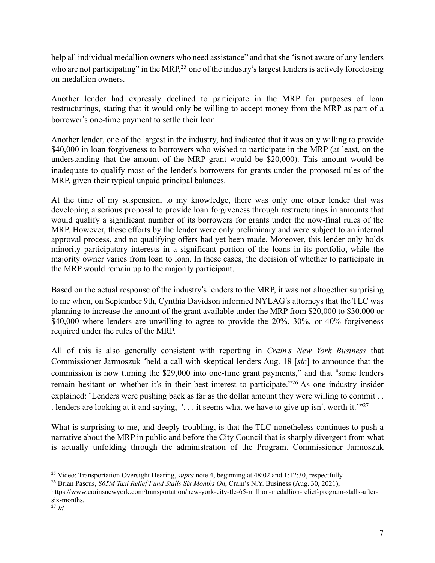help all individual medallion owners who need assistance" and that she "is not aware of any lenders who are not participating" in the MRP,<sup>25</sup> one of the industry's largest lenders is actively foreclosing on medallion owners.

Another lender had expressly declined to participate in the MRP for purposes of loan restructurings, stating that it would only be willing to accept money from the MRP as part of a borrower's one-time payment to settle their loan.

Another lender, one of the largest in the industry, had indicated that it was only willing to provide \$40,000 in loan forgiveness to borrowers who wished to participate in the MRP (at least, on the understanding that the amount of the MRP grant would be \$20,000). This amount would be inadequate to qualify most of the lender's borrowers for grants under the proposed rules of the MRP, given their typical unpaid principal balances.

At the time of my suspension, to my knowledge, there was only one other lender that was developing a serious proposal to provide loan forgiveness through restructurings in amounts that would qualify a significant number of its borrowers for grants under the now-final rules of the MRP. However, these efforts by the lender were only preliminary and were subject to an internal approval process, and no qualifying offers had yet been made. Moreover, this lender only holds minority participatory interests in a significant portion of the loans in its portfolio, while the majority owner varies from loan to loan. In these cases, the decision of whether to participate in the MRP would remain up to the majority participant.

Based on the actual response of the industry's lenders to the MRP, it was not altogether surprising to me when, on September 9th, Cynthia Davidson informed NYLAG's attorneys that the TLC was planning to increase the amount of the grant available under the MRP from \$20,000 to \$30,000 or \$40,000 where lenders are unwilling to agree to provide the 20%, 30%, or 40% forgiveness required under the rules of the MRP.

All of this is also generally consistent with reporting in *Crain's New York Business* that Commissioner Jarmoszuk "held a call with skeptical lenders Aug. 18 [*sic*] to announce that the commission is now turning the \$29,000 into one-time grant payments," and that "some lenders remain hesitant on whether it's in their best interest to participate."<sup>26</sup> As one industry insider explained: "Lenders were pushing back as far as the dollar amount they were willing to commit . . . lenders are looking at it and saying,  $\therefore$  it seems what we have to give up isn't worth it.'"<sup>27</sup>

What is surprising to me, and deeply troubling, is that the TLC nonetheless continues to push a narrative about the MRP in public and before the City Council that is sharply divergent from what is actually unfolding through the administration of the Program. Commissioner Jarmoszuk

<sup>25</sup> Video: Transportation Oversight Hearing, *supra* note 4, beginning at 48:02 and 1:12:30, respectfully.

<sup>26</sup> Brian Pascus, *\$65M Taxi Relief Fund Stalls Six Months On*, Crain's N.Y. Business (Aug. 30, 2021),

https://www.crainsnewyork.com/transportation/new-york-city-tlc-65-million-medallion-relief-program-stalls-aftersix-months.

<sup>27</sup> *Id.*